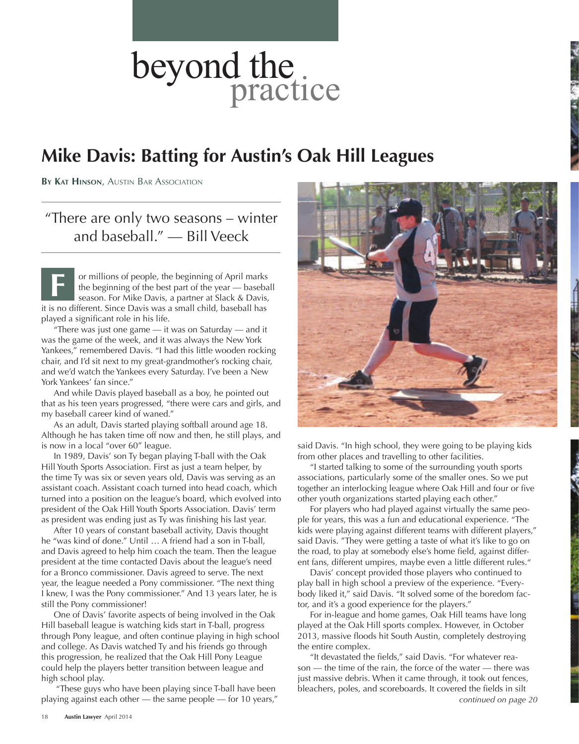## **Mike Davis: Batting for Austin's Oak Hill Leagues**

**By Kat Hinson**, Austin Bar Association

"There are only two seasons – winter and baseball." — Bill Veeck

or millions of people, the beginning of April marks the beginning of the best part of the year — baseball season. For Mike Davis, a partner at Slack & Davis, it is no different. Since Davis was a small child, baseball has played a significant role in his life. **F**

"There was just one game  $-$  it was on Saturday  $-$  and it was the game of the week, and it was always the New York Yankees," remembered Davis. "I had this little wooden rocking chair, and I'd sit next to my great-grandmother's rocking chair, and we'd watch the Yankees every Saturday. I've been a New York Yankees' fan since."

And while Davis played baseball as a boy, he pointed out that as his teen years progressed, "there were cars and girls, and my baseball career kind of waned."

As an adult, Davis started playing softball around age 18. Although he has taken time off now and then, he still plays, and is now in a local "over 60" league.

In 1989, Davis' son Ty began playing T-ball with the Oak Hill Youth Sports Association. First as just a team helper, by the time Ty was six or seven years old, Davis was serving as an assistant coach. Assistant coach turned into head coach, which turned into a position on the league's board, which evolved into president of the Oak Hill Youth Sports Association. Davis' term as president was ending just as Ty was finishing his last year.

After 10 years of constant baseball activity, Davis thought he "was kind of done." Until … A friend had a son in T-ball, and Davis agreed to help him coach the team. Then the league president at the time contacted Davis about the league's need for a Bronco commissioner. Davis agreed to serve. The next year, the league needed a Pony commissioner. "The next thing I knew, I was the Pony commissioner." And 13 years later, he is still the Pony commissioner!

One of Davis' favorite aspects of being involved in the Oak Hill baseball league is watching kids start in T-ball, progress through Pony league, and often continue playing in high school and college. As Davis watched Ty and his friends go through this progression, he realized that the Oak Hill Pony League could help the players better transition between league and high school play.

 "These guys who have been playing since T-ball have been playing against each other — the same people — for 10 years,"

said Davis. "In high school, they were going to be playing kids from other places and travelling to other facilities.

"I started talking to some of the surrounding youth sports associations, particularly some of the smaller ones. So we put together an interlocking league where Oak Hill and four or five other youth organizations started playing each other."

For players who had played against virtually the same people for years, this was a fun and educational experience. "The kids were playing against different teams with different players," said Davis. "They were getting a taste of what it's like to go on the road, to play at somebody else's home field, against different fans, different umpires, maybe even a little different rules."

Davis' concept provided those players who continued to play ball in high school a preview of the experience. "Everybody liked it," said Davis. "It solved some of the boredom factor, and it's a good experience for the players."

For in-league and home games, Oak Hill teams have long played at the Oak Hill sports complex. However, in October 2013, massive floods hit South Austin, completely destroying the entire complex.

"It devastated the fields," said Davis. "For whatever reason — the time of the rain, the force of the water — there was just massive debris. When it came through, it took out fences, bleachers, poles, and scoreboards. It covered the fields in silt *continued on page 20*



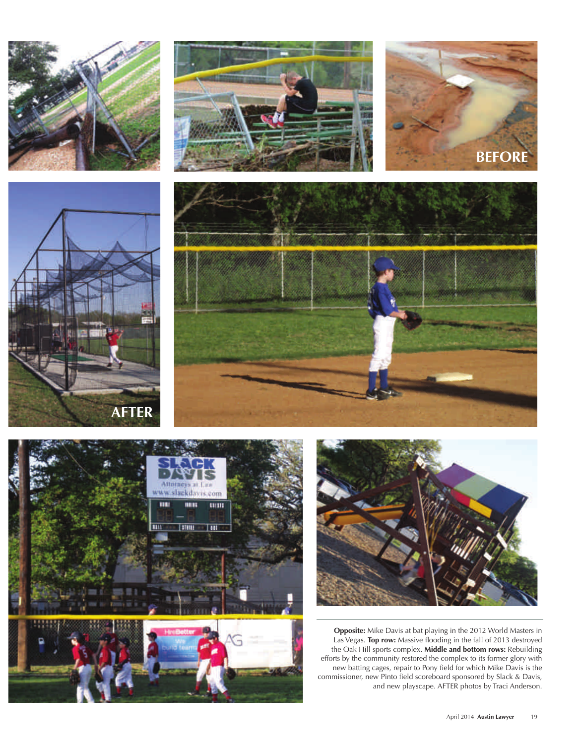













**Opposite:** Mike Davis at bat playing in the 2012 World Masters in Las Vegas. **Top row:** Massive flooding in the fall of 2013 destroyed the Oak Hill sports complex. **Middle and bottom rows:** Rebuilding efforts by the community restored the complex to its former glory with new batting cages, repair to Pony field for which Mike Davis is the commissioner, new Pinto field scoreboard sponsored by Slack & Davis, and new playscape. AFTER photos by Traci Anderson.